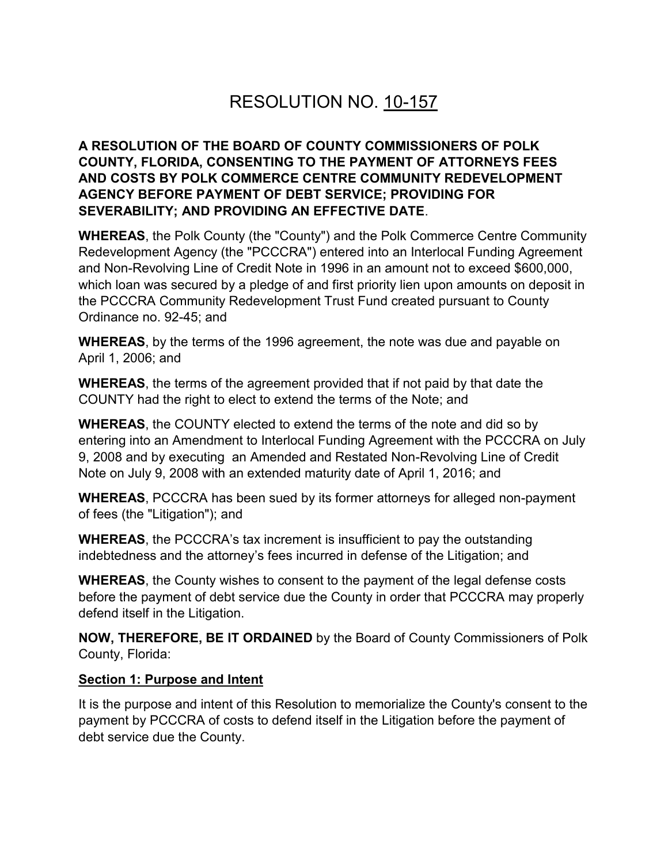# RESOLUTION NO. 10-157

# **A RESOLUTION OF THE BOARD OF COUNTY COMMISSIONERS OF POLK COUNTY, FLORIDA, CONSENTING TO THE PAYMENT OF ATTORNEYS FEES AND COSTS BY POLK COMMERCE CENTRE COMMUNITY REDEVELOPMENT AGENCY BEFORE PAYMENT OF DEBT SERVICE; PROVIDING FOR SEVERABILITY; AND PROVIDING AN EFFECTIVE DATE**.

**WHEREAS**, the Polk County (the "County") and the Polk Commerce Centre Community Redevelopment Agency (the "PCCCRA") entered into an Interlocal Funding Agreement and Non-Revolving Line of Credit Note in 1996 in an amount not to exceed \$600,000, which loan was secured by a pledge of and first priority lien upon amounts on deposit in the PCCCRA Community Redevelopment Trust Fund created pursuant to County Ordinance no. 92-45; and

**WHEREAS**, by the terms of the 1996 agreement, the note was due and payable on April 1, 2006; and

**WHEREAS**, the terms of the agreement provided that if not paid by that date the COUNTY had the right to elect to extend the terms of the Note; and

**WHEREAS**, the COUNTY elected to extend the terms of the note and did so by entering into an Amendment to Interlocal Funding Agreement with the PCCCRA on July 9, 2008 and by executing an Amended and Restated Non-Revolving Line of Credit Note on July 9, 2008 with an extended maturity date of April 1, 2016; and

**WHEREAS**, PCCCRA has been sued by its former attorneys for alleged non-payment of fees (the "Litigation"); and

**WHEREAS**, the PCCCRA's tax increment is insufficient to pay the outstanding indebtedness and the attorney's fees incurred in defense of the Litigation; and

**WHEREAS**, the County wishes to consent to the payment of the legal defense costs before the payment of debt service due the County in order that PCCCRA may properly defend itself in the Litigation.

**NOW, THEREFORE, BE IT ORDAINED** by the Board of County Commissioners of Polk County, Florida:

#### **Section 1: Purpose and Intent**

It is the purpose and intent of this Resolution to memorialize the County's consent to the payment by PCCCRA of costs to defend itself in the Litigation before the payment of debt service due the County.